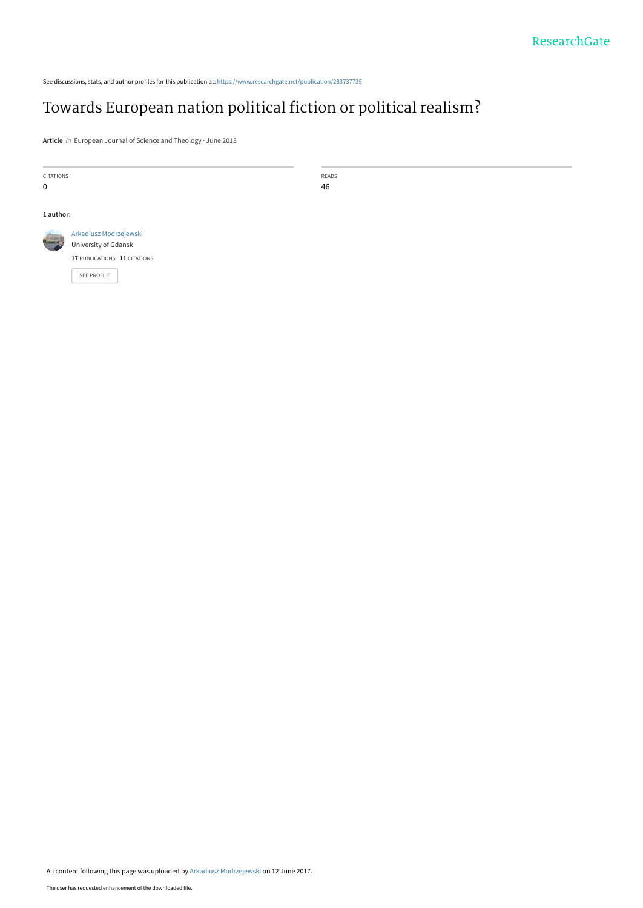See discussions, stats, and author profiles for this publication at: [https://www.researchgate.net/publication/283737735](https://www.researchgate.net/publication/283737735_Towards_European_nation_political_fiction_or_political_realism?enrichId=rgreq-0c82399b3d6feb9af331c040070b6001-XXX&enrichSource=Y292ZXJQYWdlOzI4MzczNzczNTtBUzo1MDQ1MzM2MTA4OTMzMTJAMTQ5NzMwMTU5NDIwMg%3D%3D&el=1_x_2&_esc=publicationCoverPdf)

# [Towards European nation political fiction or political realism?](https://www.researchgate.net/publication/283737735_Towards_European_nation_political_fiction_or_political_realism?enrichId=rgreq-0c82399b3d6feb9af331c040070b6001-XXX&enrichSource=Y292ZXJQYWdlOzI4MzczNzczNTtBUzo1MDQ1MzM2MTA4OTMzMTJAMTQ5NzMwMTU5NDIwMg%3D%3D&el=1_x_3&_esc=publicationCoverPdf)

**Article** in European Journal of Science and Theology · June 2013

CITATIONS 0

READS 46

#### **1 author:**



[University of Gdansk](https://www.researchgate.net/institution/University_of_Gdansk?enrichId=rgreq-0c82399b3d6feb9af331c040070b6001-XXX&enrichSource=Y292ZXJQYWdlOzI4MzczNzczNTtBUzo1MDQ1MzM2MTA4OTMzMTJAMTQ5NzMwMTU5NDIwMg%3D%3D&el=1_x_6&_esc=publicationCoverPdf) **17** PUBLICATIONS **11** CITATIONS

[Arkadiusz Modrzejewski](https://www.researchgate.net/profile/Arkadiusz_Modrzejewski?enrichId=rgreq-0c82399b3d6feb9af331c040070b6001-XXX&enrichSource=Y292ZXJQYWdlOzI4MzczNzczNTtBUzo1MDQ1MzM2MTA4OTMzMTJAMTQ5NzMwMTU5NDIwMg%3D%3D&el=1_x_5&_esc=publicationCoverPdf)

[SEE PROFILE](https://www.researchgate.net/profile/Arkadiusz_Modrzejewski?enrichId=rgreq-0c82399b3d6feb9af331c040070b6001-XXX&enrichSource=Y292ZXJQYWdlOzI4MzczNzczNTtBUzo1MDQ1MzM2MTA4OTMzMTJAMTQ5NzMwMTU5NDIwMg%3D%3D&el=1_x_7&_esc=publicationCoverPdf)

All content following this page was uploaded by [Arkadiusz Modrzejewski](https://www.researchgate.net/profile/Arkadiusz_Modrzejewski?enrichId=rgreq-0c82399b3d6feb9af331c040070b6001-XXX&enrichSource=Y292ZXJQYWdlOzI4MzczNzczNTtBUzo1MDQ1MzM2MTA4OTMzMTJAMTQ5NzMwMTU5NDIwMg%3D%3D&el=1_x_10&_esc=publicationCoverPdf) on 12 June 2017.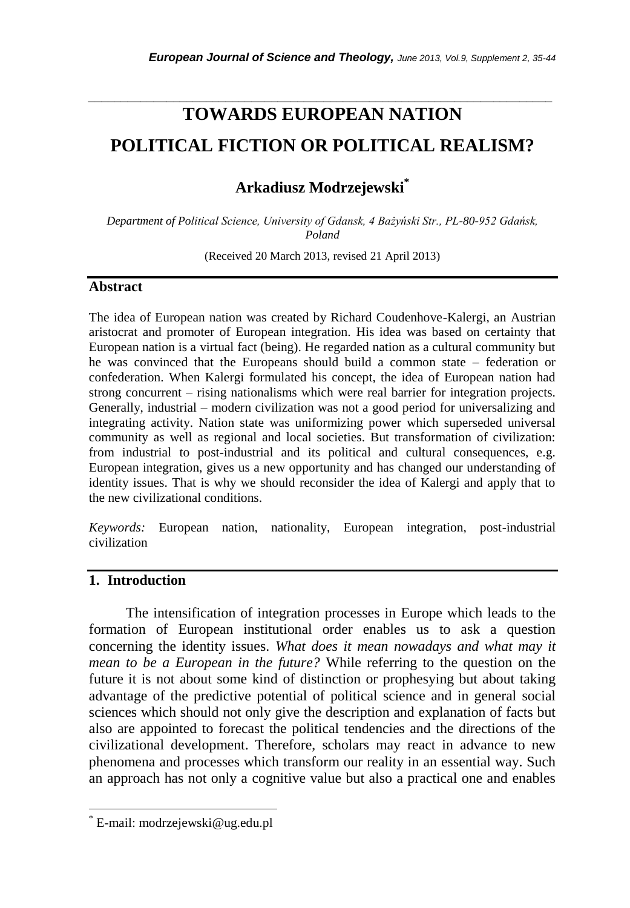# **TOWARDS EUROPEAN NATION POLITICAL FICTION OR POLITICAL REALISM?**

*\_\_\_\_\_\_\_\_\_\_\_\_\_\_\_\_\_\_\_\_\_\_\_\_\_\_\_\_\_\_\_\_\_\_\_\_\_\_\_\_\_\_\_\_\_\_\_\_\_\_\_\_\_\_\_\_\_\_\_\_\_\_\_\_\_\_\_\_\_\_\_*

**Arkadiusz Modrzejewski\***

*Department of Political Science, University of Gdansk, 4 Bażyński Str., PL-80-952 Gdańsk, Poland*

(Received 20 March 2013, revised 21 April 2013)

#### **Abstract**

The idea of European nation was created by Richard Coudenhove-Kalergi, an Austrian aristocrat and promoter of European integration. His idea was based on certainty that European nation is a virtual fact (being). He regarded nation as a cultural community but he was convinced that the Europeans should build a common state – federation or confederation. When Kalergi formulated his concept, the idea of European nation had strong concurrent – rising nationalisms which were real barrier for integration projects. Generally, industrial – modern civilization was not a good period for universalizing and integrating activity. Nation state was uniformizing power which superseded universal community as well as regional and local societies. But transformation of civilization: from industrial to post-industrial and its political and cultural consequences, e.g. European integration, gives us a new opportunity and has changed our understanding of identity issues. That is why we should reconsider the idea of Kalergi and apply that to the new civilizational conditions.

*Keywords:* European nation, nationality, European integration, post-industrial civilization

## **1. Introduction**

l

The intensification of integration processes in Europe which leads to the formation of European institutional order enables us to ask a question concerning the identity issues. *What does it mean nowadays and what may it mean to be a European in the future?* While referring to the question on the future it is not about some kind of distinction or prophesying but about taking advantage of the predictive potential of political science and in general social sciences which should not only give the description and explanation of facts but also are appointed to forecast the political tendencies and the directions of the civilizational development. Therefore, scholars may react in advance to new phenomena and processes which transform our reality in an essential way. Such an approach has not only a cognitive value but also a practical one and enables

E-mail: modrzejewski@ug.edu.pl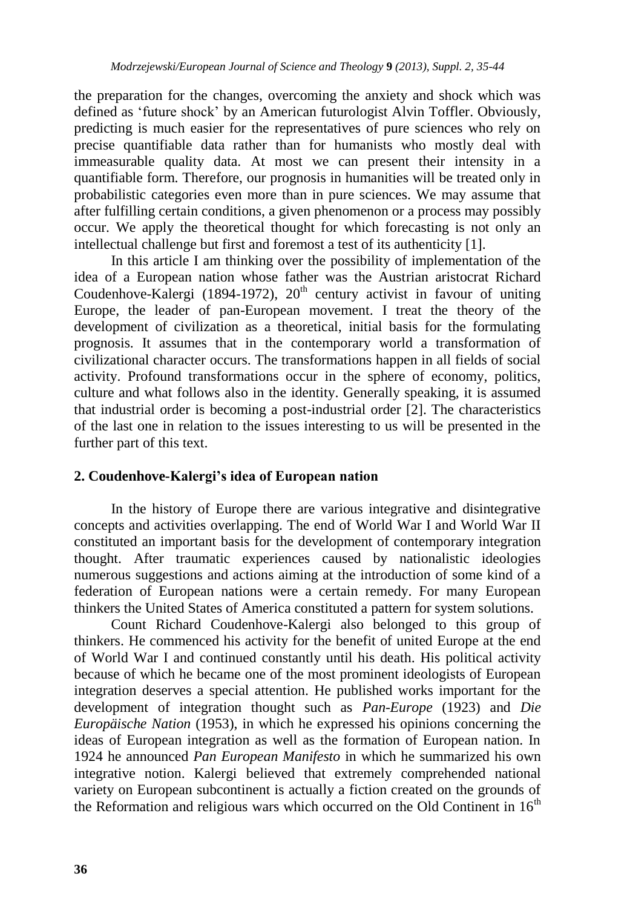the preparation for the changes, overcoming the anxiety and shock which was defined as "future shock" by an American futurologist Alvin Toffler. Obviously, predicting is much easier for the representatives of pure sciences who rely on precise quantifiable data rather than for humanists who mostly deal with immeasurable quality data. At most we can present their intensity in a quantifiable form. Therefore, our prognosis in humanities will be treated only in probabilistic categories even more than in pure sciences. We may assume that after fulfilling certain conditions, a given phenomenon or a process may possibly occur. We apply the theoretical thought for which forecasting is not only an intellectual challenge but first and foremost a test of its authenticity [1].

In this article I am thinking over the possibility of implementation of the idea of a European nation whose father was the Austrian aristocrat Richard Coudenhove-Kalergi (1894-1972),  $20<sup>th</sup>$  century activist in favour of uniting Europe, the leader of pan-European movement. I treat the theory of the development of civilization as a theoretical, initial basis for the formulating prognosis. It assumes that in the contemporary world a transformation of civilizational character occurs. The transformations happen in all fields of social activity. Profound transformations occur in the sphere of economy, politics, culture and what follows also in the identity. Generally speaking, it is assumed that industrial order is becoming a post-industrial order [2]. The characteristics of the last one in relation to the issues interesting to us will be presented in the further part of this text.

### **2. Coudenhove-Kalergi's idea of European nation**

In the history of Europe there are various integrative and disintegrative concepts and activities overlapping. The end of World War I and World War II constituted an important basis for the development of contemporary integration thought. After traumatic experiences caused by nationalistic ideologies numerous suggestions and actions aiming at the introduction of some kind of a federation of European nations were a certain remedy. For many European thinkers the United States of America constituted a pattern for system solutions.

Count Richard Coudenhove-Kalergi also belonged to this group of thinkers. He commenced his activity for the benefit of united Europe at the end of World War I and continued constantly until his death. His political activity because of which he became one of the most prominent ideologists of European integration deserves a special attention. He published works important for the development of integration thought such as *Pan*-*Europe* (1923) and *Die Europäische Nation* (1953), in which he expressed his opinions concerning the ideas of European integration as well as the formation of European nation. In 1924 he announced *Pan European Manifesto* in which he summarized his own integrative notion. Kalergi believed that extremely comprehended national variety on European subcontinent is actually a fiction created on the grounds of the Reformation and religious wars which occurred on the Old Continent in  $16<sup>th</sup>$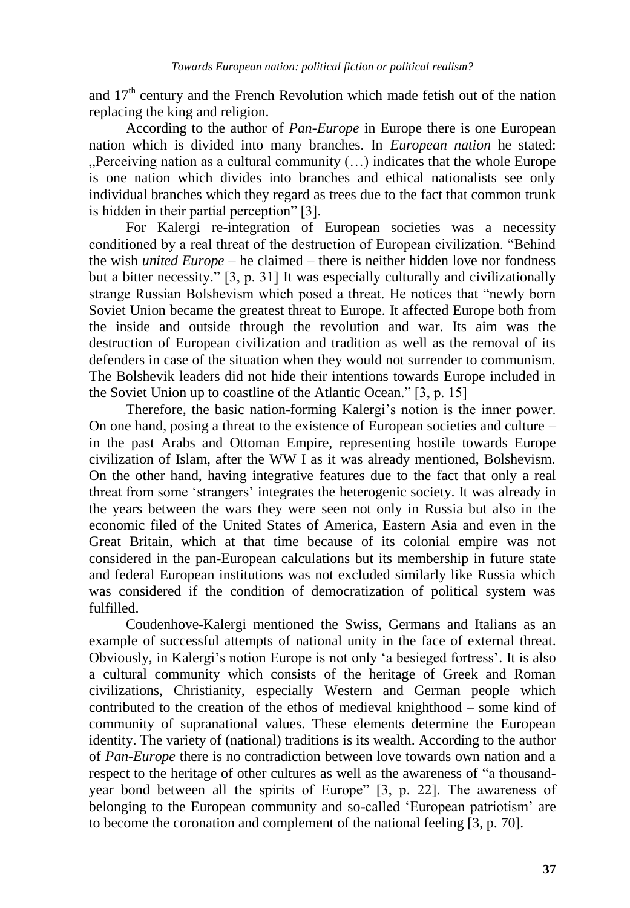and 17th century and the French Revolution which made fetish out of the nation replacing the king and religion.

According to the author of *Pan-Europe* in Europe there is one European nation which is divided into many branches. In *European nation* he stated:  $\mathcal{L}$  Perceiving nation as a cultural community  $(\ldots)$  indicates that the whole Europe is one nation which divides into branches and ethical nationalists see only individual branches which they regard as trees due to the fact that common trunk is hidden in their partial perception" [3].

For Kalergi re-integration of European societies was a necessity conditioned by a real threat of the destruction of European civilization. "Behind the wish *united Europe –* he claimed – there is neither hidden love nor fondness but a bitter necessity." [3, p. 31] It was especially culturally and civilizationally strange Russian Bolshevism which posed a threat. He notices that "newly born Soviet Union became the greatest threat to Europe. It affected Europe both from the inside and outside through the revolution and war. Its aim was the destruction of European civilization and tradition as well as the removal of its defenders in case of the situation when they would not surrender to communism. The Bolshevik leaders did not hide their intentions towards Europe included in the Soviet Union up to coastline of the Atlantic Ocean." [3, p. 15]

Therefore, the basic nation-forming Kalergi"s notion is the inner power. On one hand, posing a threat to the existence of European societies and culture – in the past Arabs and Ottoman Empire, representing hostile towards Europe civilization of Islam, after the WW I as it was already mentioned, Bolshevism. On the other hand, having integrative features due to the fact that only a real threat from some "strangers" integrates the heterogenic society. It was already in the years between the wars they were seen not only in Russia but also in the economic filed of the United States of America, Eastern Asia and even in the Great Britain, which at that time because of its colonial empire was not considered in the pan-European calculations but its membership in future state and federal European institutions was not excluded similarly like Russia which was considered if the condition of democratization of political system was fulfilled.

Coudenhove-Kalergi mentioned the Swiss, Germans and Italians as an example of successful attempts of national unity in the face of external threat. Obviously, in Kalergi"s notion Europe is not only "a besieged fortress". It is also a cultural community which consists of the heritage of Greek and Roman civilizations, Christianity, especially Western and German people which contributed to the creation of the ethos of medieval knighthood – some kind of community of supranational values. These elements determine the European identity. The variety of (national) traditions is its wealth. According to the author of *Pan-Europe* there is no contradiction between love towards own nation and a respect to the heritage of other cultures as well as the awareness of "a thousandyear bond between all the spirits of Europe" [3, p. 22]. The awareness of belonging to the European community and so-called "European patriotism" are to become the coronation and complement of the national feeling [3, p. 70].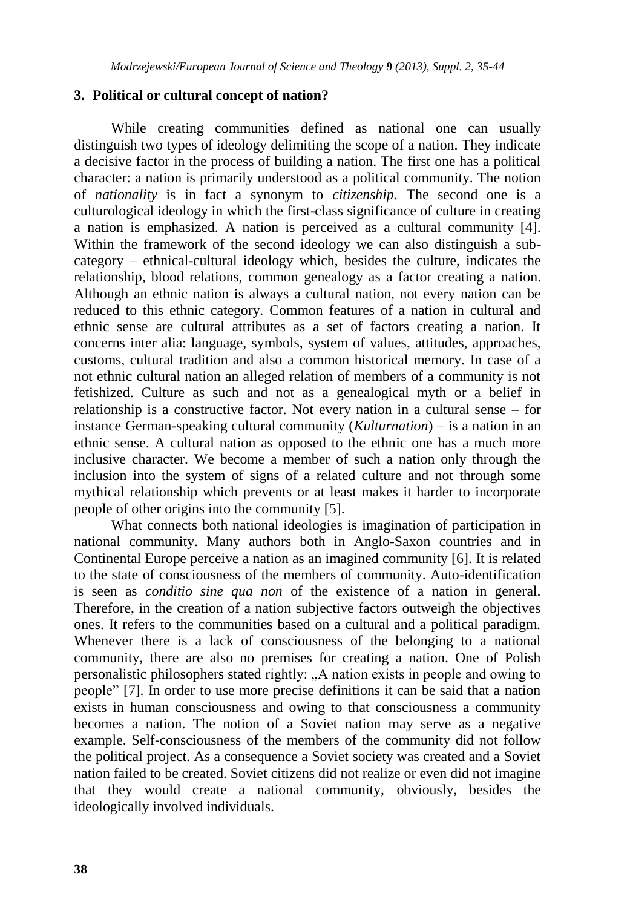#### **3. Political or cultural concept of nation?**

While creating communities defined as national one can usually distinguish two types of ideology delimiting the scope of a nation. They indicate a decisive factor in the process of building a nation. The first one has a political character: a nation is primarily understood as a political community. The notion of *nationality* is in fact a synonym to *citizenship.* The second one is a culturological ideology in which the first-class significance of culture in creating a nation is emphasized. A nation is perceived as a cultural community [4]. Within the framework of the second ideology we can also distinguish a subcategory – ethnical-cultural ideology which, besides the culture, indicates the relationship, blood relations, common genealogy as a factor creating a nation. Although an ethnic nation is always a cultural nation, not every nation can be reduced to this ethnic category. Common features of a nation in cultural and ethnic sense are cultural attributes as a set of factors creating a nation. It concerns inter alia: language, symbols, system of values, attitudes, approaches, customs, cultural tradition and also a common historical memory. In case of a not ethnic cultural nation an alleged relation of members of a community is not fetishized. Culture as such and not as a genealogical myth or a belief in relationship is a constructive factor. Not every nation in a cultural sense – for instance German-speaking cultural community (*Kulturnation*) – is a nation in an ethnic sense. A cultural nation as opposed to the ethnic one has a much more inclusive character. We become a member of such a nation only through the inclusion into the system of signs of a related culture and not through some mythical relationship which prevents or at least makes it harder to incorporate people of other origins into the community [5].

What connects both national ideologies is imagination of participation in national community. Many authors both in Anglo-Saxon countries and in Continental Europe perceive a nation as an imagined community [6]. It is related to the state of consciousness of the members of community. Auto-identification is seen as *conditio sine qua non* of the existence of a nation in general. Therefore, in the creation of a nation subjective factors outweigh the objectives ones. It refers to the communities based on a cultural and a political paradigm. Whenever there is a lack of consciousness of the belonging to a national community, there are also no premises for creating a nation. One of Polish personalistic philosophers stated rightly: "A nation exists in people and owing to people" [7]. In order to use more precise definitions it can be said that a nation exists in human consciousness and owing to that consciousness a community becomes a nation. The notion of a Soviet nation may serve as a negative example. Self-consciousness of the members of the community did not follow the political project. As a consequence a Soviet society was created and a Soviet nation failed to be created. Soviet citizens did not realize or even did not imagine that they would create a national community, obviously, besides the ideologically involved individuals.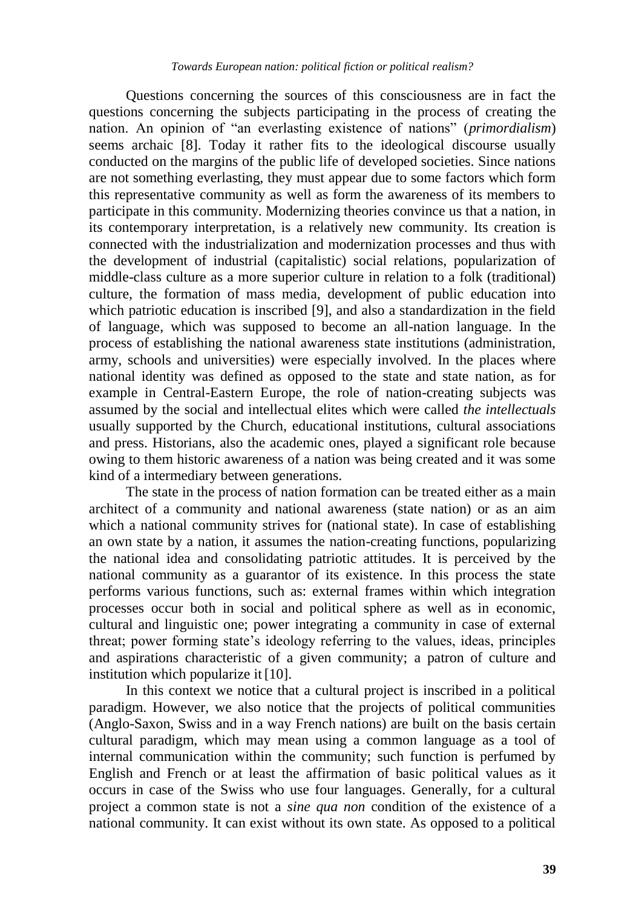Questions concerning the sources of this consciousness are in fact the questions concerning the subjects participating in the process of creating the nation. An opinion of "an everlasting existence of nations" (*primordialism*) seems archaic [8]. Today it rather fits to the ideological discourse usually conducted on the margins of the public life of developed societies. Since nations are not something everlasting, they must appear due to some factors which form this representative community as well as form the awareness of its members to participate in this community. Modernizing theories convince us that a nation, in its contemporary interpretation, is a relatively new community. Its creation is connected with the industrialization and modernization processes and thus with the development of industrial (capitalistic) social relations, popularization of middle-class culture as a more superior culture in relation to a folk (traditional) culture, the formation of mass media, development of public education into which patriotic education is inscribed [9], and also a standardization in the field of language, which was supposed to become an all-nation language. In the process of establishing the national awareness state institutions (administration, army, schools and universities) were especially involved. In the places where national identity was defined as opposed to the state and state nation, as for example in Central-Eastern Europe, the role of nation-creating subjects was assumed by the social and intellectual elites which were called *the intellectuals* usually supported by the Church, educational institutions, cultural associations and press. Historians, also the academic ones, played a significant role because owing to them historic awareness of a nation was being created and it was some kind of a intermediary between generations.

The state in the process of nation formation can be treated either as a main architect of a community and national awareness (state nation) or as an aim which a national community strives for (national state). In case of establishing an own state by a nation, it assumes the nation-creating functions, popularizing the national idea and consolidating patriotic attitudes. It is perceived by the national community as a guarantor of its existence. In this process the state performs various functions, such as: external frames within which integration processes occur both in social and political sphere as well as in economic, cultural and linguistic one; power integrating a community in case of external threat; power forming state"s ideology referring to the values, ideas, principles and aspirations characteristic of a given community; a patron of culture and institution which popularize it [10].

In this context we notice that a cultural project is inscribed in a political paradigm. However, we also notice that the projects of political communities (Anglo-Saxon, Swiss and in a way French nations) are built on the basis certain cultural paradigm, which may mean using a common language as a tool of internal communication within the community; such function is perfumed by English and French or at least the affirmation of basic political values as it occurs in case of the Swiss who use four languages. Generally, for a cultural project a common state is not a *sine qua non* condition of the existence of a national community. It can exist without its own state. As opposed to a political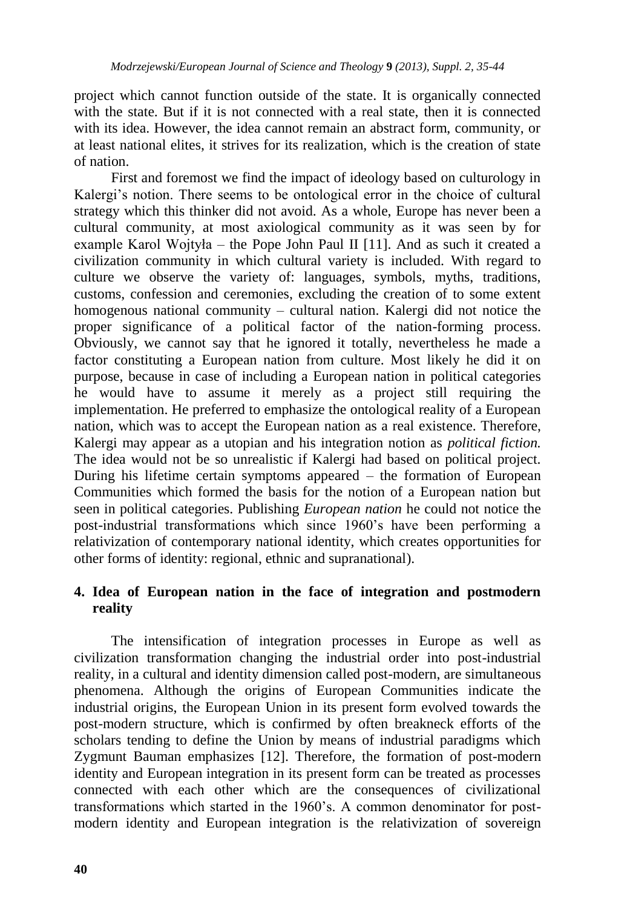project which cannot function outside of the state. It is organically connected with the state. But if it is not connected with a real state, then it is connected with its idea. However, the idea cannot remain an abstract form, community, or at least national elites, it strives for its realization, which is the creation of state of nation.

First and foremost we find the impact of ideology based on culturology in Kalergi's notion. There seems to be ontological error in the choice of cultural strategy which this thinker did not avoid. As a whole, Europe has never been a cultural community, at most axiological community as it was seen by for example Karol Wojtyła – the Pope John Paul II [11]. And as such it created a civilization community in which cultural variety is included. With regard to culture we observe the variety of: languages, symbols, myths, traditions, customs, confession and ceremonies, excluding the creation of to some extent homogenous national community – cultural nation. Kalergi did not notice the proper significance of a political factor of the nation-forming process. Obviously, we cannot say that he ignored it totally, nevertheless he made a factor constituting a European nation from culture. Most likely he did it on purpose, because in case of including a European nation in political categories he would have to assume it merely as a project still requiring the implementation. He preferred to emphasize the ontological reality of a European nation, which was to accept the European nation as a real existence. Therefore, Kalergi may appear as a utopian and his integration notion as *political fiction.*  The idea would not be so unrealistic if Kalergi had based on political project. During his lifetime certain symptoms appeared – the formation of European Communities which formed the basis for the notion of a European nation but seen in political categories. Publishing *European nation* he could not notice the post-industrial transformations which since 1960"s have been performing a relativization of contemporary national identity, which creates opportunities for other forms of identity: regional, ethnic and supranational).

# **4. Idea of European nation in the face of integration and postmodern reality**

The intensification of integration processes in Europe as well as civilization transformation changing the industrial order into post-industrial reality, in a cultural and identity dimension called post-modern, are simultaneous phenomena. Although the origins of European Communities indicate the industrial origins, the European Union in its present form evolved towards the post-modern structure, which is confirmed by often breakneck efforts of the scholars tending to define the Union by means of industrial paradigms which Zygmunt Bauman emphasizes [12]. Therefore, the formation of post-modern identity and European integration in its present form can be treated as processes connected with each other which are the consequences of civilizational transformations which started in the 1960"s. A common denominator for postmodern identity and European integration is the relativization of sovereign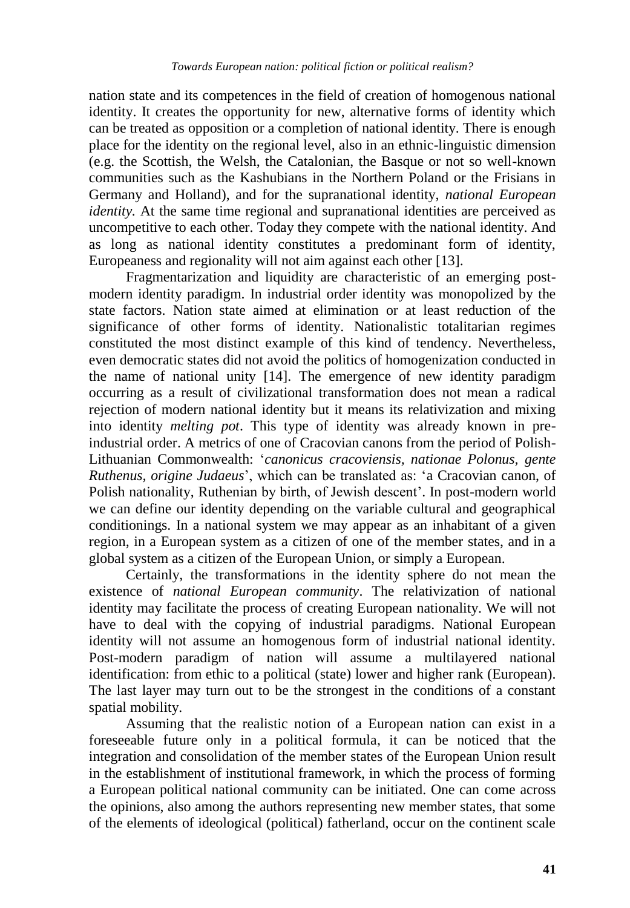nation state and its competences in the field of creation of homogenous national identity. It creates the opportunity for new, alternative forms of identity which can be treated as opposition or a completion of national identity. There is enough place for the identity on the regional level, also in an ethnic-linguistic dimension (e.g. the Scottish, the Welsh, the Catalonian, the Basque or not so well-known communities such as the Kashubians in the Northern Poland or the Frisians in Germany and Holland), and for the supranational identity, *national European identity*. At the same time regional and supranational identities are perceived as uncompetitive to each other. Today they compete with the national identity. And as long as national identity constitutes a predominant form of identity, Europeaness and regionality will not aim against each other [13].

Fragmentarization and liquidity are characteristic of an emerging postmodern identity paradigm. In industrial order identity was monopolized by the state factors. Nation state aimed at elimination or at least reduction of the significance of other forms of identity. Nationalistic totalitarian regimes constituted the most distinct example of this kind of tendency. Nevertheless, even democratic states did not avoid the politics of homogenization conducted in the name of national unity [14]. The emergence of new identity paradigm occurring as a result of civilizational transformation does not mean a radical rejection of modern national identity but it means its relativization and mixing into identity *melting pot*. This type of identity was already known in preindustrial order. A metrics of one of Cracovian canons from the period of Polish-Lithuanian Commonwealth: "*canonicus cracoviensis, nationae Polonus, gente Ruthenus, origine Judaeus*", which can be translated as: "a Cracovian canon, of Polish nationality, Ruthenian by birth, of Jewish descent'. In post-modern world we can define our identity depending on the variable cultural and geographical conditionings. In a national system we may appear as an inhabitant of a given region, in a European system as a citizen of one of the member states, and in a global system as a citizen of the European Union, or simply a European.

Certainly, the transformations in the identity sphere do not mean the existence of *national European community*. The relativization of national identity may facilitate the process of creating European nationality. We will not have to deal with the copying of industrial paradigms. National European identity will not assume an homogenous form of industrial national identity. Post-modern paradigm of nation will assume a multilayered national identification: from ethic to a political (state) lower and higher rank (European). The last layer may turn out to be the strongest in the conditions of a constant spatial mobility.

Assuming that the realistic notion of a European nation can exist in a foreseeable future only in a political formula, it can be noticed that the integration and consolidation of the member states of the European Union result in the establishment of institutional framework, in which the process of forming a European political national community can be initiated. One can come across the opinions, also among the authors representing new member states, that some of the elements of ideological (political) fatherland, occur on the continent scale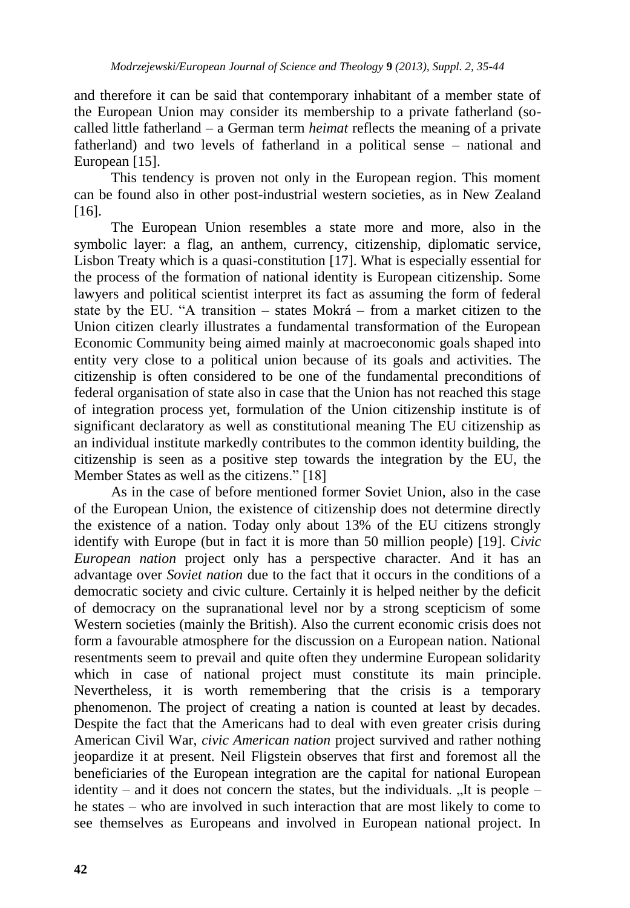and therefore it can be said that contemporary inhabitant of a member state of the European Union may consider its membership to a private fatherland (socalled little fatherland – a German term *heimat* reflects the meaning of a private fatherland) and two levels of fatherland in a political sense – national and European [15].

This tendency is proven not only in the European region. This moment can be found also in other post-industrial western societies, as in New Zealand [16].

The European Union resembles a state more and more, also in the symbolic layer: a flag, an anthem, currency, citizenship, diplomatic service, Lisbon Treaty which is a quasi-constitution [17]. What is especially essential for the process of the formation of national identity is European citizenship. Some lawyers and political scientist interpret its fact as assuming the form of federal state by the EU. "A transition – states Mokrá – from a market citizen to the Union citizen clearly illustrates a fundamental transformation of the European Economic Community being aimed mainly at macroeconomic goals shaped into entity very close to a political union because of its goals and activities. The citizenship is often considered to be one of the fundamental preconditions of federal organisation of state also in case that the Union has not reached this stage of integration process yet, formulation of the Union citizenship institute is of significant declaratory as well as constitutional meaning The EU citizenship as an individual institute markedly contributes to the common identity building, the citizenship is seen as a positive step towards the integration by the EU, the Member States as well as the citizens." [18]

As in the case of before mentioned former Soviet Union, also in the case of the European Union, the existence of citizenship does not determine directly the existence of a nation. Today only about 13% of the EU citizens strongly identify with Europe (but in fact it is more than 50 million people) [19]. C*ivic European nation* project only has a perspective character. And it has an advantage over *Soviet nation* due to the fact that it occurs in the conditions of a democratic society and civic culture. Certainly it is helped neither by the deficit of democracy on the supranational level nor by a strong scepticism of some Western societies (mainly the British). Also the current economic crisis does not form a favourable atmosphere for the discussion on a European nation. National resentments seem to prevail and quite often they undermine European solidarity which in case of national project must constitute its main principle. Nevertheless, it is worth remembering that the crisis is a temporary phenomenon. The project of creating a nation is counted at least by decades. Despite the fact that the Americans had to deal with even greater crisis during American Civil War, *civic American nation* project survived and rather nothing jeopardize it at present. Neil Fligstein observes that first and foremost all the beneficiaries of the European integration are the capital for national European identity – and it does not concern the states, but the individuals.  $\Lambda$  It is people – he states – who are involved in such interaction that are most likely to come to see themselves as Europeans and involved in European national project. In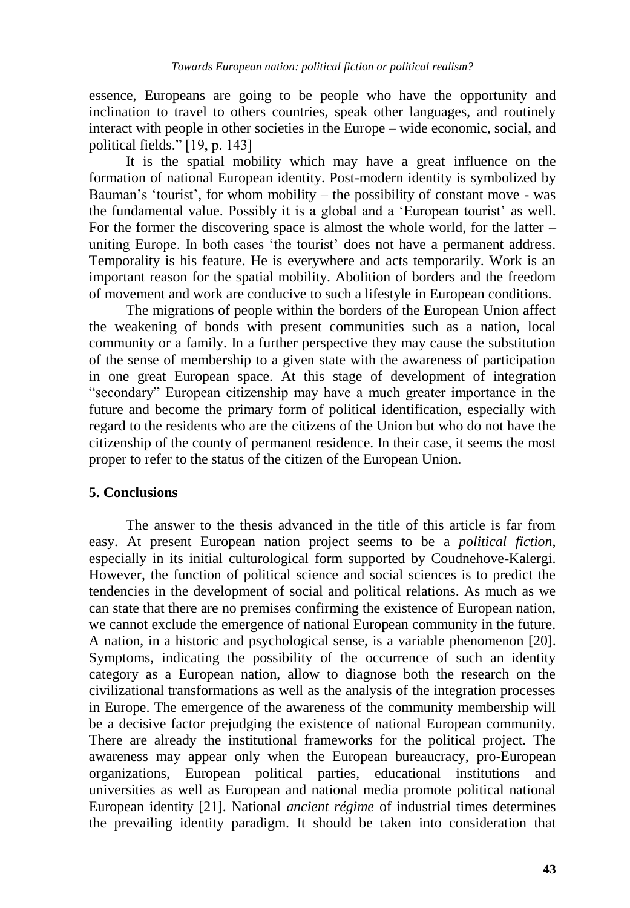essence, Europeans are going to be people who have the opportunity and inclination to travel to others countries, speak other languages, and routinely interact with people in other societies in the Europe – wide economic, social, and political fields." [19, p. 143]

It is the spatial mobility which may have a great influence on the formation of national European identity. Post-modern identity is symbolized by Bauman's 'tourist', for whom mobility – the possibility of constant move - was the fundamental value. Possibly it is a global and a "European tourist" as well. For the former the discovering space is almost the whole world, for the latter – uniting Europe. In both cases "the tourist" does not have a permanent address. Temporality is his feature. He is everywhere and acts temporarily. Work is an important reason for the spatial mobility. Abolition of borders and the freedom of movement and work are conducive to such a lifestyle in European conditions.

The migrations of people within the borders of the European Union affect the weakening of bonds with present communities such as a nation, local community or a family. In a further perspective they may cause the substitution of the sense of membership to a given state with the awareness of participation in one great European space. At this stage of development of integration "secondary" European citizenship may have a much greater importance in the future and become the primary form of political identification, especially with regard to the residents who are the citizens of the Union but who do not have the citizenship of the county of permanent residence. In their case, it seems the most proper to refer to the status of the citizen of the European Union.

### **5. Conclusions**

The answer to the thesis advanced in the title of this article is far from easy. At present European nation project seems to be a *political fiction*, especially in its initial culturological form supported by Coudnehove-Kalergi. However, the function of political science and social sciences is to predict the tendencies in the development of social and political relations. As much as we can state that there are no premises confirming the existence of European nation, we cannot exclude the emergence of national European community in the future. A nation, in a historic and psychological sense, is a variable phenomenon [20]. Symptoms, indicating the possibility of the occurrence of such an identity category as a European nation, allow to diagnose both the research on the civilizational transformations as well as the analysis of the integration processes in Europe. The emergence of the awareness of the community membership will be a decisive factor prejudging the existence of national European community. There are already the institutional frameworks for the political project. The awareness may appear only when the European bureaucracy, pro-European organizations, European political parties, educational institutions and universities as well as European and national media promote political national European identity [21]. National *ancient régime* of industrial times determines the prevailing identity paradigm. It should be taken into consideration that